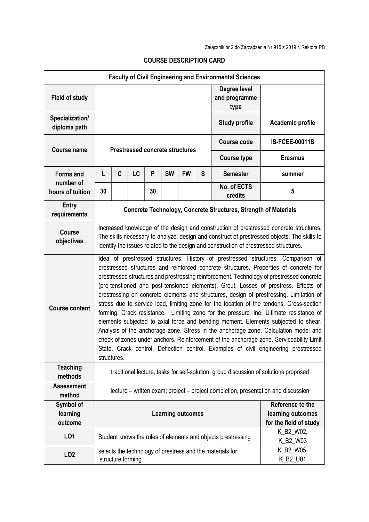|                                  |                                                                                                                                                                                                                                                                                                                                                                                                                                                                                                                                                                                                                                                                                                                                                                                                                                                                                                                                                                                                                               |                   |    |    |                                                                 |           |   | <b>Faculty of Civil Engineering and Environmental Sciences</b> |                       |
|----------------------------------|-------------------------------------------------------------------------------------------------------------------------------------------------------------------------------------------------------------------------------------------------------------------------------------------------------------------------------------------------------------------------------------------------------------------------------------------------------------------------------------------------------------------------------------------------------------------------------------------------------------------------------------------------------------------------------------------------------------------------------------------------------------------------------------------------------------------------------------------------------------------------------------------------------------------------------------------------------------------------------------------------------------------------------|-------------------|----|----|-----------------------------------------------------------------|-----------|---|----------------------------------------------------------------|-----------------------|
| <b>Field of study</b>            |                                                                                                                                                                                                                                                                                                                                                                                                                                                                                                                                                                                                                                                                                                                                                                                                                                                                                                                                                                                                                               |                   |    |    |                                                                 |           |   | Degree level<br>and programme<br>type                          |                       |
| Specialization/<br>diploma path  |                                                                                                                                                                                                                                                                                                                                                                                                                                                                                                                                                                                                                                                                                                                                                                                                                                                                                                                                                                                                                               |                   |    |    |                                                                 |           |   | <b>Study profile</b>                                           | Academic profile      |
|                                  | <b>Prestressed concrete structures</b>                                                                                                                                                                                                                                                                                                                                                                                                                                                                                                                                                                                                                                                                                                                                                                                                                                                                                                                                                                                        |                   |    |    |                                                                 |           |   | <b>Course code</b>                                             | <b>IS-FCEE-00011S</b> |
| <b>Course name</b>               |                                                                                                                                                                                                                                                                                                                                                                                                                                                                                                                                                                                                                                                                                                                                                                                                                                                                                                                                                                                                                               |                   |    |    |                                                                 |           |   | <b>Course type</b>                                             | <b>Erasmus</b>        |
| <b>Forms and</b>                 | L                                                                                                                                                                                                                                                                                                                                                                                                                                                                                                                                                                                                                                                                                                                                                                                                                                                                                                                                                                                                                             | C                 | LC | P  | <b>SW</b>                                                       | <b>FW</b> | S | <b>Semester</b>                                                | summer                |
| number of<br>hours of tuition    | 30                                                                                                                                                                                                                                                                                                                                                                                                                                                                                                                                                                                                                                                                                                                                                                                                                                                                                                                                                                                                                            |                   |    | 30 |                                                                 |           |   | No. of ECTS<br>credits                                         | 5                     |
| <b>Entry</b><br>requirements     | Concrete Technology, Concrete Structures, Strength of Materials                                                                                                                                                                                                                                                                                                                                                                                                                                                                                                                                                                                                                                                                                                                                                                                                                                                                                                                                                               |                   |    |    |                                                                 |           |   |                                                                |                       |
| <b>Course</b><br>objectives      | Increased knowledge of the design and construction of prestressed concrete structures.<br>The skills necessary to analyze, design and construct of prestressed objects. The skills to<br>identify the issues related to the design and construction of prestressed structures.                                                                                                                                                                                                                                                                                                                                                                                                                                                                                                                                                                                                                                                                                                                                                |                   |    |    |                                                                 |           |   |                                                                |                       |
| <b>Course content</b>            | Idea of prestressed structures. History of prestressed structures. Comparison of<br>prestressed structures and reinforced concrete structures. Properties of concrete for<br>prestressed structures and prestressing reinforcement. Technology of prestressed concrete<br>(pre-tenstioned and post-tensioned elements). Grout. Losses of prestress. Effects of<br>prestressing on concrete elements and structures, design of prestressing. Limitation of<br>stress due to service load, limiting zone for the location of the tendons. Cross-section<br>forming. Crack resistance. Limiting zone for the pressure line. Ultimate resistance of<br>elements subjected to axial force and bending moment. Elements subjected to shear.<br>Analysis of the anchorage zone. Stress in the anchorage zone. Calculation model and<br>check of zones under anchors. Reinforcement of the anchorage zone. Serviceability Limit<br>State. Crack control. Deflection control. Examples of civil engineering prestressed<br>structures. |                   |    |    |                                                                 |           |   |                                                                |                       |
| <b>Teaching</b><br>methods       | traditional lecture, tasks for self-solution, group discussion of solutions proposed                                                                                                                                                                                                                                                                                                                                                                                                                                                                                                                                                                                                                                                                                                                                                                                                                                                                                                                                          |                   |    |    |                                                                 |           |   |                                                                |                       |
| <b>Assessment</b><br>method      | lecture – written exam; project – project completion, presentation and discussion                                                                                                                                                                                                                                                                                                                                                                                                                                                                                                                                                                                                                                                                                                                                                                                                                                                                                                                                             |                   |    |    |                                                                 |           |   |                                                                |                       |
| Symbol of<br>learning<br>outcome | <b>Learning outcomes</b>                                                                                                                                                                                                                                                                                                                                                                                                                                                                                                                                                                                                                                                                                                                                                                                                                                                                                                                                                                                                      |                   |    |    | Reference to the<br>learning outcomes<br>for the field of study |           |   |                                                                |                       |
| LO1                              |                                                                                                                                                                                                                                                                                                                                                                                                                                                                                                                                                                                                                                                                                                                                                                                                                                                                                                                                                                                                                               |                   |    |    |                                                                 |           |   | Student knows the rules of elements and objects prestressing   | K_B2_W02,<br>K_B2_W03 |
| LO <sub>2</sub>                  |                                                                                                                                                                                                                                                                                                                                                                                                                                                                                                                                                                                                                                                                                                                                                                                                                                                                                                                                                                                                                               | structure forming |    |    |                                                                 |           |   | selects the technology of prestress and the materials for      | K_B2_W05,<br>K_B2_U01 |

## COURSE DESCRIPTION CARD